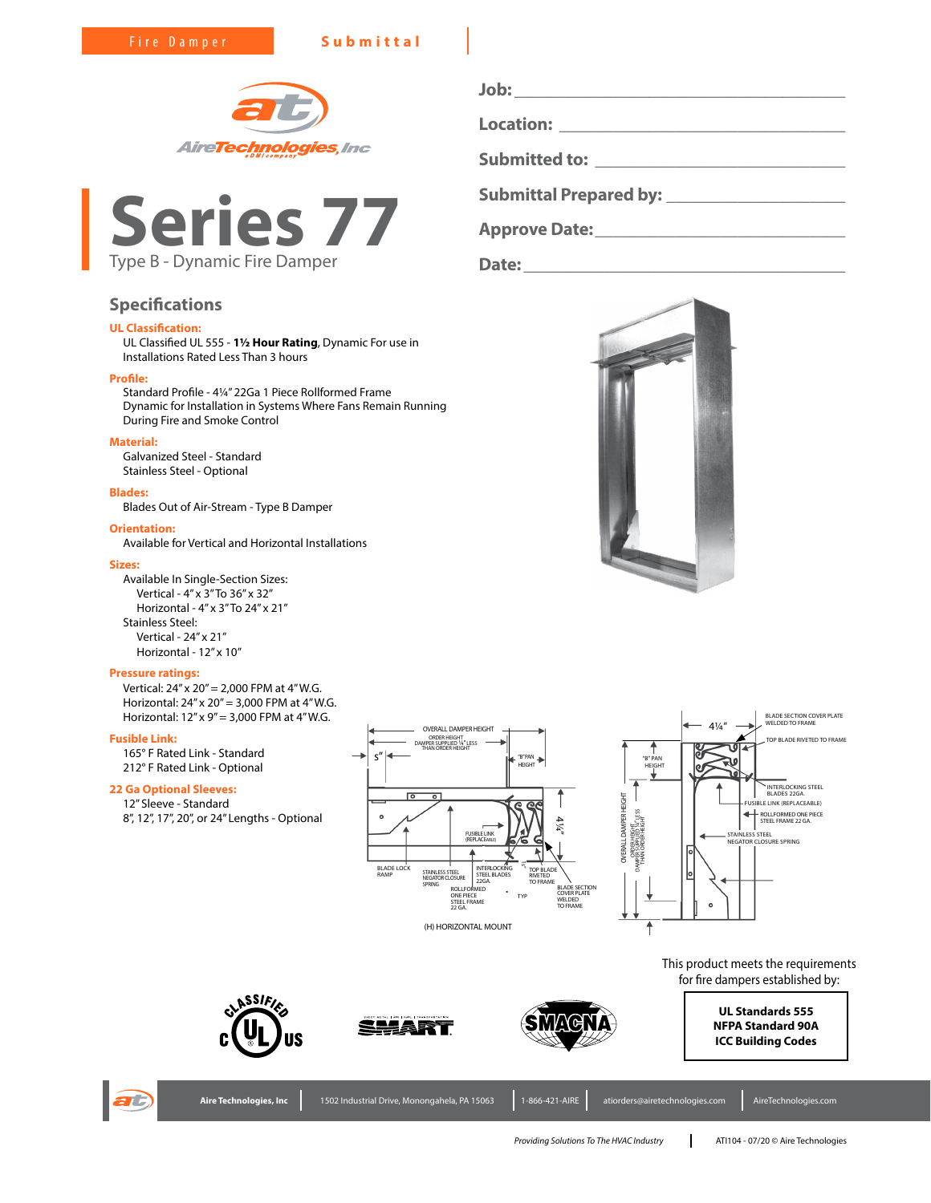Fire Damper **Submittal**





# **Specifications**

# **UL Classification:**

UL Classified UL 555 - **1½ Hour Rating**, Dynamic For use in Installations Rated Less Than 3 hours

### **Profile:**

Standard Profile - 4¼" 22Ga 1 Piece Rollformed Frame Dynamic for Installation in Systems Where Fans Remain Running During Fire and Smoke Control

# **Material:**

Galvanized Steel - Standard Stainless Steel - Optional

#### **Blades:**

Blades Out of Air-Stream - Type B Damper

#### **Orientation:**

Available for Vertical and Horizontal Installations

#### **Sizes:**

Available In Single-Section Sizes: Vertical - 4" x 3" To 36" x 32" Horizontal - 4" x 3" To 24" x 21" Stainless Steel: Vertical - 24" x 21" Horizontal - 12" x 10"

#### **Pressure ratings:**

Vertical: 24" x 20" = 2,000 FPM at 4" W.G. Horizontal: 24" x 20" = 3,000 FPM at 4" W.G. Horizontal: 12" x 9" = 3,000 FPM at 4" W.G.

### **Fusible Link:**

165° F Rated Link - Standard 212° F Rated Link - Optional

# **22 Ga Optional Sleeves:**

12" Sleeve - Standard 8", 12", 17", 20", or 24" Lengths - Optional



(H) HORIZONTAL MOUNT



This product meets the requirements for fire dampers established by:

> **UL Standards 555 NFPA Standard 90A ICC Building Codes**



ASSIFI

**Job: \_\_\_\_\_\_\_\_\_\_\_\_\_\_\_\_\_\_\_\_\_\_\_\_\_\_\_\_\_\_\_\_\_\_\_\_\_ Location: \_\_\_\_\_\_\_\_\_\_\_\_\_\_\_\_\_\_\_\_\_\_\_\_\_\_\_\_\_\_\_\_ Submitted to: \_\_\_\_\_\_\_\_\_\_\_\_\_\_\_\_\_\_\_\_\_\_\_\_\_\_\_\_**

**Submittal Prepared by: \_\_\_\_\_\_\_\_\_\_\_\_\_\_\_\_\_\_\_\_**

**Approve Date:\_\_\_\_\_\_\_\_\_\_\_\_\_\_\_\_\_\_\_\_\_\_\_\_\_\_\_\_**

**Date:\_\_\_\_\_\_\_\_\_\_\_\_\_\_\_\_\_\_\_\_\_\_\_\_\_\_\_\_\_\_\_\_\_\_\_\_**